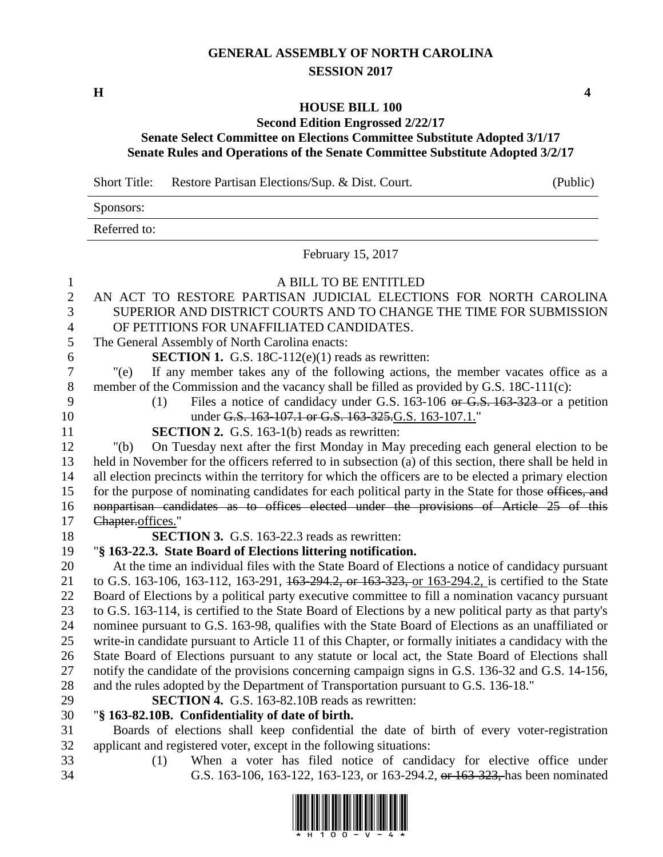## **GENERAL ASSEMBLY OF NORTH CAROLINA SESSION 2017**

**H 4**

## **HOUSE BILL 100**

## **Second Edition Engrossed 2/22/17 Senate Select Committee on Elections Committee Substitute Adopted 3/1/17 Senate Rules and Operations of the Senate Committee Substitute Adopted 3/2/17**

Short Title: Restore Partisan Elections/Sup. & Dist. Court. (Public)

Sponsors:

Referred to:

February 15, 2017

| $\mathbf{1}$   | A BILL TO BE ENTITLED                                                                                   |
|----------------|---------------------------------------------------------------------------------------------------------|
| $\overline{2}$ | AN ACT TO RESTORE PARTISAN JUDICIAL ELECTIONS FOR NORTH CAROLINA                                        |
| 3              | SUPERIOR AND DISTRICT COURTS AND TO CHANGE THE TIME FOR SUBMISSION                                      |
| $\overline{4}$ | OF PETITIONS FOR UNAFFILIATED CANDIDATES.                                                               |
| 5              | The General Assembly of North Carolina enacts:                                                          |
| 6              | <b>SECTION 1.</b> G.S. 18C-112 $(e)(1)$ reads as rewritten:                                             |
| $\overline{7}$ | If any member takes any of the following actions, the member vacates office as a<br>" $(e)$             |
| $\,8\,$        | member of the Commission and the vacancy shall be filled as provided by G.S. 18C-111(c):                |
| 9              | Files a notice of candidacy under G.S. 163-106 or G.S. 163-323 or a petition<br>(1)                     |
| 10             | under G.S. 163-107.1 or G.S. 163-325. G.S. 163-107.1."                                                  |
| 11             | <b>SECTION 2.</b> G.S. 163-1(b) reads as rewritten:                                                     |
| 12             | On Tuesday next after the first Monday in May preceding each general election to be<br>" $(b)$          |
| 13             | held in November for the officers referred to in subsection (a) of this section, there shall be held in |
| 14             | all election precincts within the territory for which the officers are to be elected a primary election |
| 15             | for the purpose of nominating candidates for each political party in the State for those offices, and   |
| 16             | nonpartisan candidates as to offices elected under the provisions of Article 25 of this                 |
| 17             | Chapter.offices."                                                                                       |
|                |                                                                                                         |
| 18             | <b>SECTION 3.</b> G.S. 163-22.3 reads as rewritten:                                                     |
| 19             | "§ 163-22.3. State Board of Elections littering notification.                                           |
| 20             | At the time an individual files with the State Board of Elections a notice of candidacy pursuant        |
| 21             | to G.S. 163-106, 163-112, 163-291, 163-294.2, or 163-323, or 163-294.2, is certified to the State       |
| 22             | Board of Elections by a political party executive committee to fill a nomination vacancy pursuant       |
| 23             | to G.S. 163-114, is certified to the State Board of Elections by a new political party as that party's  |
| 24             | nominee pursuant to G.S. 163-98, qualifies with the State Board of Elections as an unaffiliated or      |
| 25             | write-in candidate pursuant to Article 11 of this Chapter, or formally initiates a candidacy with the   |
| 26             | State Board of Elections pursuant to any statute or local act, the State Board of Elections shall       |
| 27             | notify the candidate of the provisions concerning campaign signs in G.S. 136-32 and G.S. 14-156,        |
| 28             | and the rules adopted by the Department of Transportation pursuant to G.S. 136-18."                     |
| 29             | <b>SECTION 4.</b> G.S. 163-82.10B reads as rewritten:                                                   |
| 30             | "§ 163-82.10B. Confidentiality of date of birth.                                                        |
| 31             | Boards of elections shall keep confidential the date of birth of every voter-registration               |
| 32<br>33       | applicant and registered voter, except in the following situations:                                     |



34 G.S. 163-106, 163-122, 163-123, or 163-294.2, or 163-323, has been nominated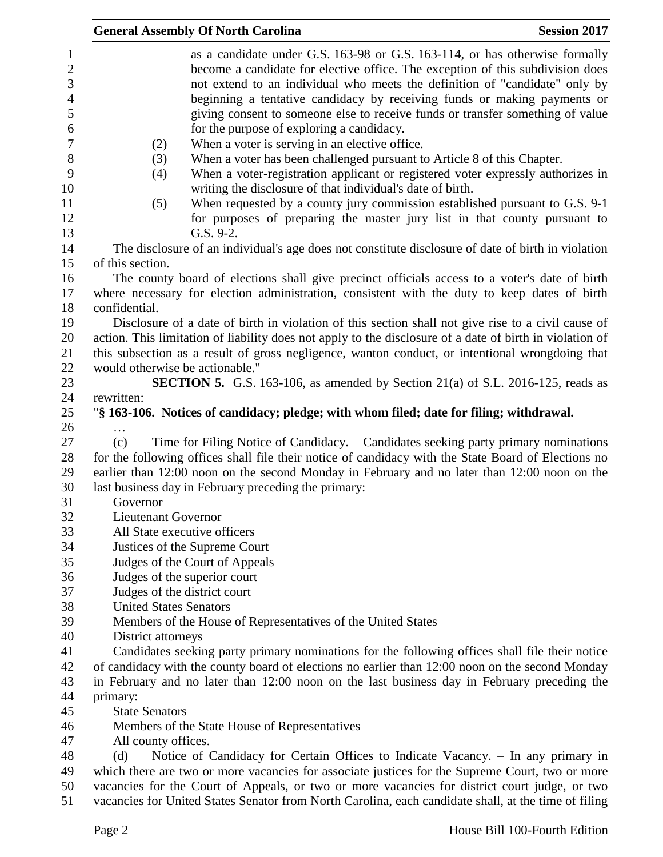|                                 | <b>Session 2017</b><br><b>General Assembly Of North Carolina</b>                                                                                                                                                                             |
|---------------------------------|----------------------------------------------------------------------------------------------------------------------------------------------------------------------------------------------------------------------------------------------|
| $\mathbf{1}$<br>$\sqrt{2}$<br>3 | as a candidate under G.S. 163-98 or G.S. 163-114, or has otherwise formally<br>become a candidate for elective office. The exception of this subdivision does<br>not extend to an individual who meets the definition of "candidate" only by |
| $\overline{4}$<br>5<br>6        | beginning a tentative candidacy by receiving funds or making payments or<br>giving consent to someone else to receive funds or transfer something of value<br>for the purpose of exploring a candidacy.                                      |
| $\boldsymbol{7}$                |                                                                                                                                                                                                                                              |
|                                 | When a voter is serving in an elective office.<br>(2)                                                                                                                                                                                        |
| $8\,$<br>9<br>10                | When a voter has been challenged pursuant to Article 8 of this Chapter.<br>(3)<br>When a voter-registration applicant or registered voter expressly authorizes in<br>(4)<br>writing the disclosure of that individual's date of birth.       |
| 11<br>12<br>13                  | (5)<br>When requested by a county jury commission established pursuant to G.S. 9-1<br>for purposes of preparing the master jury list in that county pursuant to<br>G.S. 9-2.                                                                 |
| 14                              | The disclosure of an individual's age does not constitute disclosure of date of birth in violation                                                                                                                                           |
| 15                              | of this section.                                                                                                                                                                                                                             |
| 16                              | The county board of elections shall give precinct officials access to a voter's date of birth                                                                                                                                                |
| 17<br>18                        | where necessary for election administration, consistent with the duty to keep dates of birth<br>confidential.                                                                                                                                |
| 19                              | Disclosure of a date of birth in violation of this section shall not give rise to a civil cause of                                                                                                                                           |
| 20<br>21                        | action. This limitation of liability does not apply to the disclosure of a date of birth in violation of<br>this subsection as a result of gross negligence, wanton conduct, or intentional wrongdoing that                                  |
| 22                              | would otherwise be actionable."                                                                                                                                                                                                              |
| 23                              | <b>SECTION 5.</b> G.S. 163-106, as amended by Section 21(a) of S.L. 2016-125, reads as                                                                                                                                                       |
| 24                              | rewritten:                                                                                                                                                                                                                                   |
| 25<br>26                        | "§ 163-106. Notices of candidacy; pledge; with whom filed; date for filing; withdrawal.                                                                                                                                                      |
| 27                              | Time for Filing Notice of Candidacy. – Candidates seeking party primary nominations<br>(c)                                                                                                                                                   |
| 28<br>29                        | for the following offices shall file their notice of candidacy with the State Board of Elections no<br>earlier than 12:00 noon on the second Monday in February and no later than 12:00 noon on the                                          |
| 30                              | last business day in February preceding the primary:                                                                                                                                                                                         |
| 31                              | Governor                                                                                                                                                                                                                                     |
| 32                              | <b>Lieutenant Governor</b>                                                                                                                                                                                                                   |
| 33                              | All State executive officers                                                                                                                                                                                                                 |
| 34                              | Justices of the Supreme Court                                                                                                                                                                                                                |
| 35                              | Judges of the Court of Appeals                                                                                                                                                                                                               |
| 36                              | Judges of the superior court                                                                                                                                                                                                                 |
| 37                              | Judges of the district court                                                                                                                                                                                                                 |
| 38                              | <b>United States Senators</b>                                                                                                                                                                                                                |
| 39                              | Members of the House of Representatives of the United States                                                                                                                                                                                 |
| 40                              | District attorneys                                                                                                                                                                                                                           |
| 41                              | Candidates seeking party primary nominations for the following offices shall file their notice                                                                                                                                               |
| 42                              | of candidacy with the county board of elections no earlier than 12:00 noon on the second Monday                                                                                                                                              |
| 43                              | in February and no later than 12:00 noon on the last business day in February preceding the                                                                                                                                                  |
| 44                              | primary:                                                                                                                                                                                                                                     |
| 45                              | <b>State Senators</b>                                                                                                                                                                                                                        |
| 46                              | Members of the State House of Representatives                                                                                                                                                                                                |
| 47                              | All county offices.                                                                                                                                                                                                                          |
| 48                              | Notice of Candidacy for Certain Offices to Indicate Vacancy. - In any primary in<br>(d)                                                                                                                                                      |
| 49                              | which there are two or more vacancies for associate justices for the Supreme Court, two or more                                                                                                                                              |
| 50                              | vacancies for the Court of Appeals, or two or more vacancies for district court judge, or two                                                                                                                                                |
| 51                              | vacancies for United States Senator from North Carolina, each candidate shall, at the time of filing                                                                                                                                         |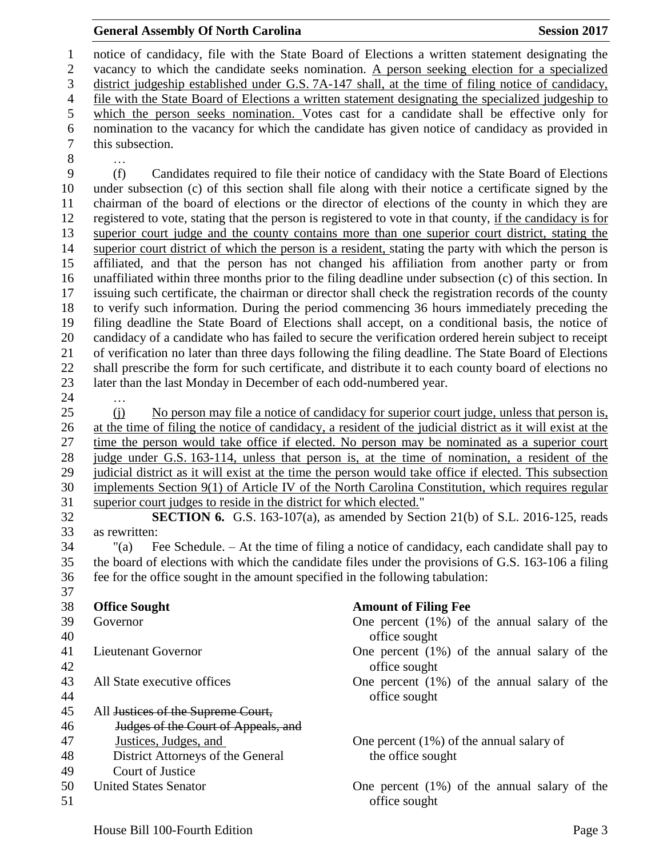| 6        | nomination to the vacancy for which the candidate has given notice of candidacy as provided in<br>this subsection. |                                                                                                            |  |  |
|----------|--------------------------------------------------------------------------------------------------------------------|------------------------------------------------------------------------------------------------------------|--|--|
| $\tau$   |                                                                                                                    |                                                                                                            |  |  |
| $8\,$    |                                                                                                                    |                                                                                                            |  |  |
| 9        | (f)<br>Candidates required to file their notice of candidacy with the State Board of Elections                     |                                                                                                            |  |  |
| 10       |                                                                                                                    | under subsection (c) of this section shall file along with their notice a certificate signed by the        |  |  |
| 11       |                                                                                                                    | chairman of the board of elections or the director of elections of the county in which they are            |  |  |
| 12       |                                                                                                                    | registered to vote, stating that the person is registered to vote in that county, if the candidacy is for  |  |  |
| 13       | superior court judge and the county contains more than one superior court district, stating the                    |                                                                                                            |  |  |
| 14       | superior court district of which the person is a resident, stating the party with which the person is              |                                                                                                            |  |  |
| 15       | affiliated, and that the person has not changed his affiliation from another party or from                         |                                                                                                            |  |  |
| 16       | unaffiliated within three months prior to the filing deadline under subsection (c) of this section. In             |                                                                                                            |  |  |
| 17       | issuing such certificate, the chairman or director shall check the registration records of the county              |                                                                                                            |  |  |
| 18       |                                                                                                                    | to verify such information. During the period commencing 36 hours immediately preceding the                |  |  |
| 19       |                                                                                                                    | filing deadline the State Board of Elections shall accept, on a conditional basis, the notice of           |  |  |
| 20       |                                                                                                                    | candidacy of a candidate who has failed to secure the verification ordered herein subject to receipt       |  |  |
| 21       |                                                                                                                    | of verification no later than three days following the filing deadline. The State Board of Elections       |  |  |
| 22       |                                                                                                                    | shall prescribe the form for such certificate, and distribute it to each county board of elections no      |  |  |
| 23       | later than the last Monday in December of each odd-numbered year.                                                  |                                                                                                            |  |  |
| 24       |                                                                                                                    |                                                                                                            |  |  |
| 25       | (i)                                                                                                                | No person may file a notice of candidacy for superior court judge, unless that person is,                  |  |  |
| 26       |                                                                                                                    | at the time of filing the notice of candidacy, a resident of the judicial district as it will exist at the |  |  |
| 27       |                                                                                                                    | time the person would take office if elected. No person may be nominated as a superior court               |  |  |
| 28       |                                                                                                                    | judge under G.S. 163-114, unless that person is, at the time of nomination, a resident of the              |  |  |
| 29       |                                                                                                                    | judicial district as it will exist at the time the person would take office if elected. This subsection    |  |  |
| 30       |                                                                                                                    | implements Section 9(1) of Article IV of the North Carolina Constitution, which requires regular           |  |  |
| 31       | superior court judges to reside in the district for which elected."                                                |                                                                                                            |  |  |
| 32       |                                                                                                                    | <b>SECTION 6.</b> G.S. 163-107(a), as amended by Section 21(b) of S.L. 2016-125, reads                     |  |  |
| 33       | as rewritten:                                                                                                      |                                                                                                            |  |  |
| 34       | "(a)                                                                                                               | Fee Schedule. - At the time of filing a notice of candidacy, each candidate shall pay to                   |  |  |
| 35       | the board of elections with which the candidate files under the provisions of G.S. 163-106 a filing                |                                                                                                            |  |  |
| 36       | fee for the office sought in the amount specified in the following tabulation:                                     |                                                                                                            |  |  |
| 37       |                                                                                                                    |                                                                                                            |  |  |
| $38\,$   | <b>Office Sought</b>                                                                                               | <b>Amount of Filing Fee</b>                                                                                |  |  |
| 39       | Governor                                                                                                           | One percent $(1\%)$ of the annual salary of the                                                            |  |  |
| 40       |                                                                                                                    | office sought                                                                                              |  |  |
| 41       | Lieutenant Governor                                                                                                | One percent $(1\%)$ of the annual salary of the                                                            |  |  |
| 42       |                                                                                                                    | office sought                                                                                              |  |  |
| 43       | All State executive offices                                                                                        | One percent $(1%)$ of the annual salary of the                                                             |  |  |
| 44       |                                                                                                                    | office sought                                                                                              |  |  |
| 45       | All Justices of the Supreme Court,                                                                                 |                                                                                                            |  |  |
| 46       | Judges of the Court of Appeals, and                                                                                |                                                                                                            |  |  |
| 47       | Justices, Judges, and                                                                                              | One percent $(1\%)$ of the annual salary of                                                                |  |  |
| 48       | District Attorneys of the General                                                                                  | the office sought                                                                                          |  |  |
| 49       | Court of Justice                                                                                                   |                                                                                                            |  |  |
| 50<br>51 | <b>United States Senator</b>                                                                                       | One percent $(1\%)$ of the annual salary of the<br>office sought                                           |  |  |
|          |                                                                                                                    |                                                                                                            |  |  |
|          | House Bill 100-Fourth Edition                                                                                      | Page 3                                                                                                     |  |  |
|          |                                                                                                                    |                                                                                                            |  |  |

1 notice of candidacy, file with the State Board of Elections a written statement designating the vacancy to which the candidate seeks nomination. A person seeking election for a specialized vacancy to which the candidate seeks nomination. A person seeking election for a specialized 3 district judgeship established under G.S. 7A-147 shall, at the time of filing notice of candidacy, 4 file with the State Board of Elections a written statement designating the specialized judgeship to 5 which the person seeks nomination. Votes cast for a candidate shall be effective only for

## **General Assembly Of North Carolina Session 2017**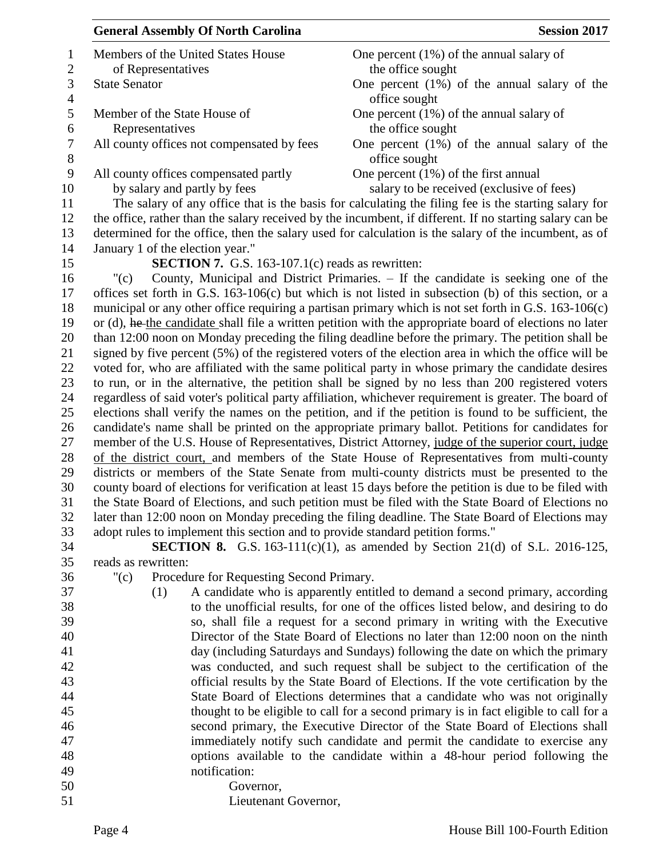| <b>General Assembly Of North Carolina</b>                                                                | <b>Session 2017</b>                                                                                   |  |  |
|----------------------------------------------------------------------------------------------------------|-------------------------------------------------------------------------------------------------------|--|--|
| Members of the United States House                                                                       | One percent $(1\%)$ of the annual salary of                                                           |  |  |
| of Representatives                                                                                       | the office sought                                                                                     |  |  |
| <b>State Senator</b>                                                                                     | One percent $(1%)$ of the annual salary of the                                                        |  |  |
|                                                                                                          | office sought                                                                                         |  |  |
| Member of the State House of                                                                             | One percent $(1\%)$ of the annual salary of                                                           |  |  |
| Representatives                                                                                          | the office sought                                                                                     |  |  |
| All county offices not compensated by fees                                                               | One percent $(1\%)$ of the annual salary of the                                                       |  |  |
|                                                                                                          | office sought                                                                                         |  |  |
| All county offices compensated partly                                                                    | One percent $(1\%)$ of the first annual                                                               |  |  |
| by salary and partly by fees                                                                             | salary to be received (exclusive of fees)                                                             |  |  |
| The salary of any office that is the basis for calculating the filing fee is the starting salary for     |                                                                                                       |  |  |
| the office, rather than the salary received by the incumbent, if different. If no starting salary can be |                                                                                                       |  |  |
|                                                                                                          | determined for the office, then the salary used for calculation is the salary of the incumbent, as of |  |  |
| January 1 of the election year."                                                                         |                                                                                                       |  |  |
| <b>SECTION 7.</b> G.S. 163-107.1 $(c)$ reads as rewritten:                                               |                                                                                                       |  |  |
| "(c)                                                                                                     | County, Municipal and District Primaries. – If the candidate is seeking one of the                    |  |  |
| offices set forth in G.S. $163-106(c)$ but which is not listed in subsection (b) of this section, or a   |                                                                                                       |  |  |
| municipal or any other office requiring a partisan primary which is not set forth in G.S. 163-106(c)     |                                                                                                       |  |  |
| or (d), he the candidate shall file a written petition with the appropriate board of elections no later  |                                                                                                       |  |  |
| than 12:00 noon on Monday preceding the filing deadline before the primary. The petition shall be        |                                                                                                       |  |  |
| signed by five percent (5%) of the registered voters of the election area in which the office will be    |                                                                                                       |  |  |
| voted for, who are affiliated with the same political party in whose primary the candidate desires       |                                                                                                       |  |  |
|                                                                                                          | to run, or in the alternative, the petition shall be signed by no less than 200 registered voters     |  |  |
| regardless of said voter's political party affiliation, whichever requirement is greater. The board of   |                                                                                                       |  |  |
|                                                                                                          | elections shall verify the names on the petition, and if the petition is found to be sufficient, the  |  |  |
|                                                                                                          | candidate's name shall be printed on the appropriate primary ballot. Petitions for candidates for     |  |  |
|                                                                                                          | member of the U.S. House of Representatives, District Attorney, judge of the superior court, judge    |  |  |
|                                                                                                          | of the district court, and members of the State House of Representatives from multi-county            |  |  |
|                                                                                                          | districts or members of the State Senate from multi-county districts must be presented to the         |  |  |
| county board of elections for verification at least 15 days before the petition is due to be filed with  |                                                                                                       |  |  |
|                                                                                                          | the State Board of Elections, and such petition must be filed with the State Board of Elections no    |  |  |
| later than 12:00 noon on Monday preceding the filing deadline. The State Board of Elections may          |                                                                                                       |  |  |
| adopt rules to implement this section and to provide standard petition forms."                           |                                                                                                       |  |  |
|                                                                                                          | <b>SECTION 8.</b> G.S. 163-111(c)(1), as amended by Section 21(d) of S.L. 2016-125,                   |  |  |
| reads as rewritten:                                                                                      |                                                                                                       |  |  |
| Procedure for Requesting Second Primary.<br>"(c)                                                         |                                                                                                       |  |  |
| (1)                                                                                                      | A candidate who is apparently entitled to demand a second primary, according                          |  |  |
|                                                                                                          | to the unofficial results, for one of the offices listed below, and desiring to do                    |  |  |

- to the unofficial results, for one of the offices listed below, and desiring to do so, shall file a request for a second primary in writing with the Executive Director of the State Board of Elections no later than 12:00 noon on the ninth day (including Saturdays and Sundays) following the date on which the primary was conducted, and such request shall be subject to the certification of the official results by the State Board of Elections. If the vote certification by the State Board of Elections determines that a candidate who was not originally thought to be eligible to call for a second primary is in fact eligible to call for a second primary, the Executive Director of the State Board of Elections shall immediately notify such candidate and permit the candidate to exercise any options available to the candidate within a 48-hour period following the notification: Governor,
- Lieutenant Governor,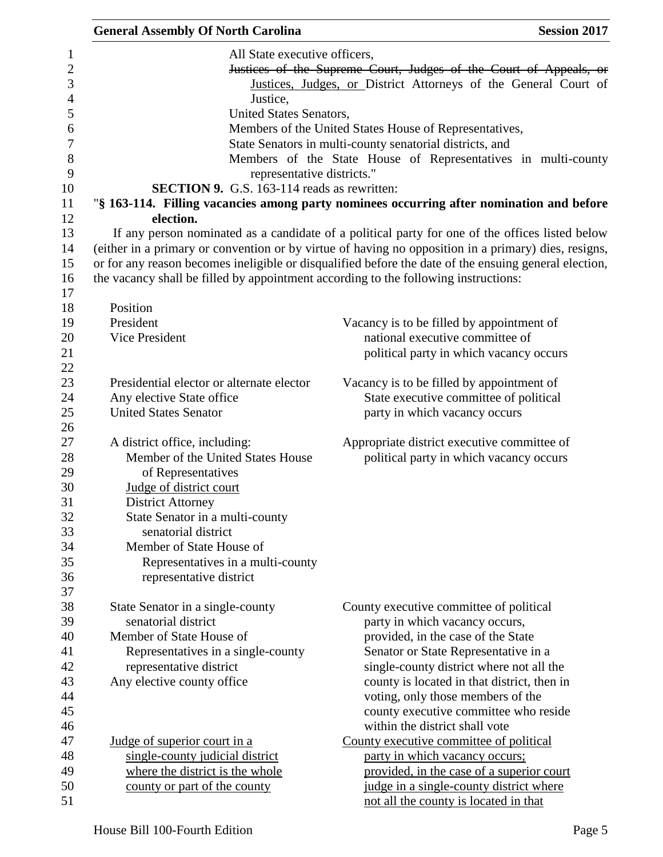| <b>General Assembly Of North Carolina</b>                                           | <b>Session 2017</b>                                                                                   |  |
|-------------------------------------------------------------------------------------|-------------------------------------------------------------------------------------------------------|--|
| All State executive officers,                                                       |                                                                                                       |  |
|                                                                                     | Justices of the Supreme Court, Judges of the Court of Appeals, or                                     |  |
| Justices, Judges, or District Attorneys of the General Court of                     |                                                                                                       |  |
| Justice,                                                                            |                                                                                                       |  |
| United States Senators,                                                             |                                                                                                       |  |
|                                                                                     | Members of the United States House of Representatives,                                                |  |
|                                                                                     | State Senators in multi-county senatorial districts, and                                              |  |
|                                                                                     | Members of the State House of Representatives in multi-county                                         |  |
| representative districts."                                                          |                                                                                                       |  |
| <b>SECTION 9.</b> G.S. 163-114 reads as rewritten:                                  |                                                                                                       |  |
|                                                                                     | "§ 163-114. Filling vacancies among party nominees occurring after nomination and before              |  |
| election.                                                                           |                                                                                                       |  |
|                                                                                     | If any person nominated as a candidate of a political party for one of the offices listed below       |  |
|                                                                                     | (either in a primary or convention or by virtue of having no opposition in a primary) dies, resigns,  |  |
|                                                                                     | or for any reason becomes ineligible or disqualified before the date of the ensuing general election, |  |
| the vacancy shall be filled by appointment according to the following instructions: |                                                                                                       |  |
|                                                                                     |                                                                                                       |  |
| Position                                                                            |                                                                                                       |  |
| President                                                                           | Vacancy is to be filled by appointment of                                                             |  |
| <b>Vice President</b>                                                               | national executive committee of                                                                       |  |
|                                                                                     | political party in which vacancy occurs                                                               |  |
|                                                                                     |                                                                                                       |  |
| Presidential elector or alternate elector                                           | Vacancy is to be filled by appointment of                                                             |  |
| Any elective State office                                                           | State executive committee of political                                                                |  |
| <b>United States Senator</b>                                                        | party in which vacancy occurs                                                                         |  |
|                                                                                     |                                                                                                       |  |
| A district office, including:                                                       | Appropriate district executive committee of                                                           |  |
| Member of the United States House                                                   | political party in which vacancy occurs                                                               |  |
| of Representatives                                                                  |                                                                                                       |  |
| Judge of district court                                                             |                                                                                                       |  |
| <b>District Attorney</b>                                                            |                                                                                                       |  |
| State Senator in a multi-county                                                     |                                                                                                       |  |
| senatorial district                                                                 |                                                                                                       |  |
| Member of State House of                                                            |                                                                                                       |  |
| Representatives in a multi-county                                                   |                                                                                                       |  |
| representative district                                                             |                                                                                                       |  |
|                                                                                     |                                                                                                       |  |
| State Senator in a single-county                                                    | County executive committee of political                                                               |  |
| senatorial district                                                                 | party in which vacancy occurs,                                                                        |  |
| Member of State House of                                                            | provided, in the case of the State                                                                    |  |
| Representatives in a single-county                                                  | Senator or State Representative in a                                                                  |  |
| representative district                                                             | single-county district where not all the                                                              |  |
| Any elective county office                                                          | county is located in that district, then in                                                           |  |
|                                                                                     | voting, only those members of the                                                                     |  |
|                                                                                     | county executive committee who reside                                                                 |  |
|                                                                                     | within the district shall vote                                                                        |  |
| <u>Judge of superior court in a</u>                                                 | County executive committee of political                                                               |  |
| single-county judicial district                                                     | party in which vacancy occurs;                                                                        |  |
| where the district is the whole                                                     | provided, in the case of a superior court                                                             |  |
| county or part of the county                                                        | judge in a single-county district where                                                               |  |
|                                                                                     | not all the county is located in that                                                                 |  |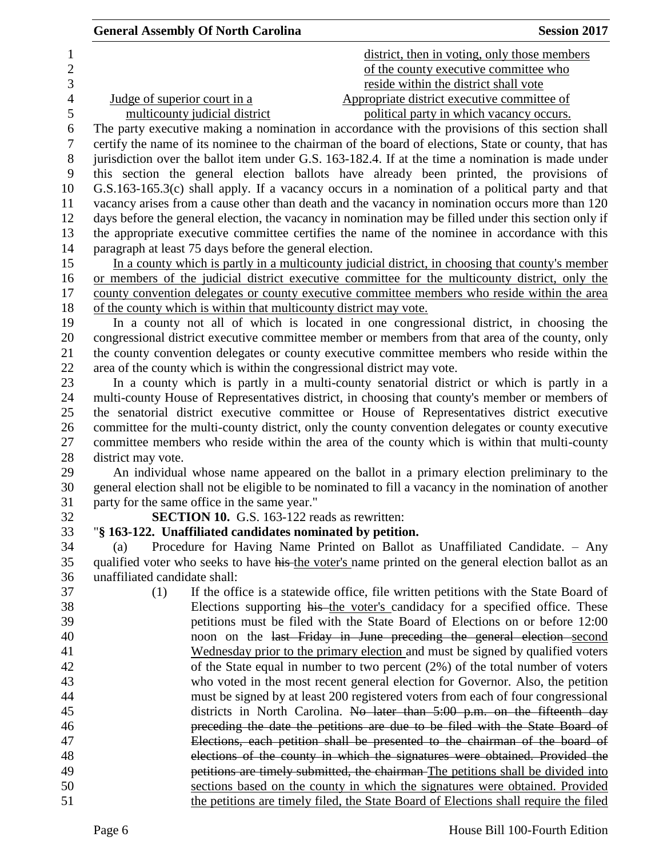| <b>General Assembly Of North Carolina</b>                               | <b>Session 2017</b>                                                                                   |
|-------------------------------------------------------------------------|-------------------------------------------------------------------------------------------------------|
|                                                                         | district, then in voting, only those members                                                          |
|                                                                         | of the county executive committee who                                                                 |
|                                                                         | reside within the district shall vote                                                                 |
| Judge of superior court in a                                            | Appropriate district executive committee of                                                           |
| multicounty judicial district                                           | political party in which vacancy occurs.                                                              |
|                                                                         | The party executive making a nomination in accordance with the provisions of this section shall       |
|                                                                         | certify the name of its nominee to the chairman of the board of elections, State or county, that has  |
|                                                                         | jurisdiction over the ballot item under G.S. 163-182.4. If at the time a nomination is made under     |
|                                                                         | this section the general election ballots have already been printed, the provisions of                |
|                                                                         | G.S.163-165.3(c) shall apply. If a vacancy occurs in a nomination of a political party and that       |
|                                                                         | vacancy arises from a cause other than death and the vacancy in nomination occurs more than 120       |
|                                                                         | days before the general election, the vacancy in nomination may be filled under this section only if  |
|                                                                         | the appropriate executive committee certifies the name of the nominee in accordance with this         |
| paragraph at least 75 days before the general election.                 |                                                                                                       |
|                                                                         | In a county which is partly in a multicounty judicial district, in choosing that county's member      |
|                                                                         | or members of the judicial district executive committee for the multicounty district, only the        |
|                                                                         | county convention delegates or county executive committee members who reside within the area          |
| of the county which is within that multicounty district may vote.       |                                                                                                       |
|                                                                         | In a county not all of which is located in one congressional district, in choosing the                |
|                                                                         | congressional district executive committee member or members from that area of the county, only       |
|                                                                         | the county convention delegates or county executive committee members who reside within the           |
| area of the county which is within the congressional district may vote. |                                                                                                       |
|                                                                         | In a county which is partly in a multi-county senatorial district or which is partly in a             |
|                                                                         | multi-county House of Representatives district, in choosing that county's member or members of        |
|                                                                         | the senatorial district executive committee or House of Representatives district executive            |
|                                                                         | committee for the multi-county district, only the county convention delegates or county executive     |
|                                                                         | committee members who reside within the area of the county which is within that multi-county          |
| district may vote.                                                      |                                                                                                       |
|                                                                         | An individual whose name appeared on the ballot in a primary election preliminary to the              |
|                                                                         | general election shall not be eligible to be nominated to fill a vacancy in the nomination of another |
| party for the same office in the same year."                            |                                                                                                       |
| SECTION 10. G.S. 163-122 reads as rewritten:                            |                                                                                                       |
| "§ 163-122. Unaffiliated candidates nominated by petition.              |                                                                                                       |
| (a)                                                                     | Procedure for Having Name Printed on Ballot as Unaffiliated Candidate. - Any                          |
|                                                                         | qualified voter who seeks to have his the voter's name printed on the general election ballot as an   |
| unaffiliated candidate shall:                                           |                                                                                                       |
| (1)                                                                     | If the office is a statewide office, file written petitions with the State Board of                   |
|                                                                         | Elections supporting his the voter's candidacy for a specified office. These                          |
|                                                                         | petitions must be filed with the State Board of Elections on or before 12:00                          |
|                                                                         | noon on the last Friday in June preceding the general election second                                 |
|                                                                         | Wednesday prior to the primary election and must be signed by qualified voters                        |
|                                                                         | of the State equal in number to two percent $(2%)$ of the total number of voters                      |
|                                                                         | who voted in the most recent general election for Governor. Also, the petition                        |
|                                                                         | must be signed by at least 200 registered voters from each of four congressional                      |
|                                                                         | districts in North Carolina. No later than 5:00 p.m. on the fifteenth day                             |
|                                                                         | preceding the date the petitions are due to be filed with the State Board of                          |
|                                                                         | Elections, each petition shall be presented to the chairman of the board of                           |
|                                                                         | elections of the county in which the signatures were obtained. Provided the                           |
|                                                                         | petitions are timely submitted, the chairman-The petitions shall be divided into                      |
|                                                                         | sections based on the county in which the signatures were obtained. Provided                          |
|                                                                         | the petitions are timely filed, the State Board of Elections shall require the filed                  |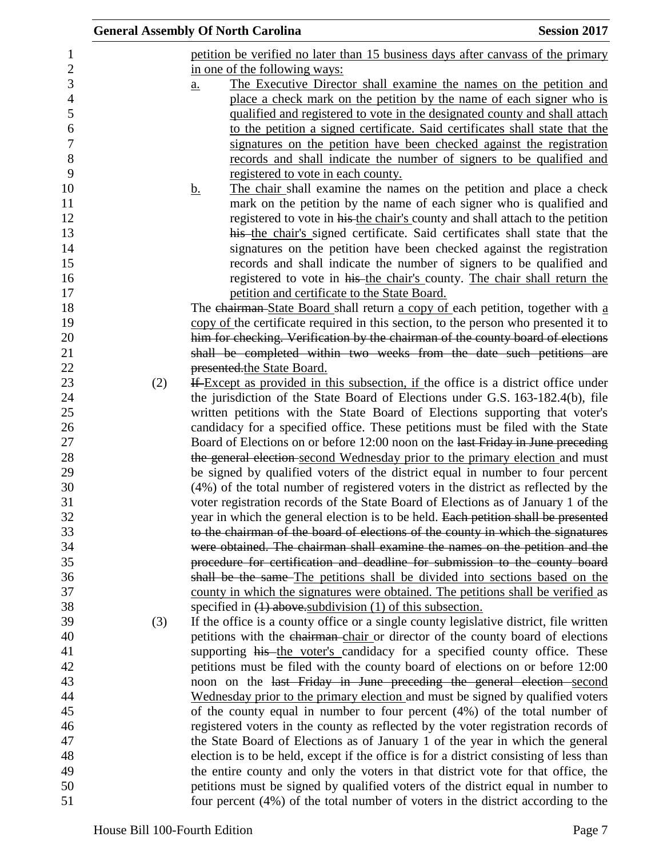|     | <b>General Assembly Of North Carolina</b>                                               | <b>Session 2017</b> |
|-----|-----------------------------------------------------------------------------------------|---------------------|
|     | petition be verified no later than 15 business days after canvass of the primary        |                     |
|     | in one of the following ways:                                                           |                     |
|     | The Executive Director shall examine the names on the petition and<br>$\underline{a}$ . |                     |
|     | place a check mark on the petition by the name of each signer who is                    |                     |
|     | qualified and registered to vote in the designated county and shall attach              |                     |
|     | to the petition a signed certificate. Said certificates shall state that the            |                     |
|     | signatures on the petition have been checked against the registration                   |                     |
|     | records and shall indicate the number of signers to be qualified and                    |                     |
|     | registered to vote in each county.                                                      |                     |
|     | The chair shall examine the names on the petition and place a check<br><u>b.</u>        |                     |
|     | mark on the petition by the name of each signer who is qualified and                    |                     |
|     | registered to vote in his the chair's county and shall attach to the petition           |                     |
|     | his the chair's signed certificate. Said certificates shall state that the              |                     |
|     | signatures on the petition have been checked against the registration                   |                     |
|     | records and shall indicate the number of signers to be qualified and                    |                     |
|     | registered to vote in his the chair's county. The chair shall return the                |                     |
|     | petition and certificate to the State Board.                                            |                     |
|     | The chairman-State Board shall return a copy of each petition, together with a          |                     |
|     | copy of the certificate required in this section, to the person who presented it to     |                     |
|     | him for checking. Verification by the chairman of the county board of elections         |                     |
|     | shall be completed within two weeks from the date such petitions are                    |                     |
|     | presented the State Board.                                                              |                     |
| (2) | If Except as provided in this subsection, if the office is a district office under      |                     |
|     | the jurisdiction of the State Board of Elections under G.S. 163-182.4(b), file          |                     |
|     | written petitions with the State Board of Elections supporting that voter's             |                     |
|     | candidacy for a specified office. These petitions must be filed with the State          |                     |
|     | Board of Elections on or before 12:00 noon on the last Friday in June preceding         |                     |
|     | the general election second Wednesday prior to the primary election and must            |                     |
|     | be signed by qualified voters of the district equal in number to four percent           |                     |
|     | (4%) of the total number of registered voters in the district as reflected by the       |                     |
|     | voter registration records of the State Board of Elections as of January 1 of the       |                     |
|     | year in which the general election is to be held. Each petition shall be presented      |                     |
|     | to the chairman of the board of elections of the county in which the signatures         |                     |
|     | were obtained. The chairman shall examine the names on the petition and the             |                     |
|     | procedure for certification and deadline for submission to the county board             |                     |
|     | shall be the same The petitions shall be divided into sections based on the             |                     |
|     | county in which the signatures were obtained. The petitions shall be verified as        |                     |
|     | specified in (1) above subdivision (1) of this subsection.                              |                     |
| (3) | If the office is a county office or a single county legislative district, file written  |                     |
|     | petitions with the chairman-chair or director of the county board of elections          |                     |
|     | supporting his the voter's candidacy for a specified county office. These               |                     |
|     | petitions must be filed with the county board of elections on or before 12:00           |                     |
|     | noon on the last Friday in June preceding the general election second                   |                     |
|     | Wednesday prior to the primary election and must be signed by qualified voters          |                     |
|     | of the county equal in number to four percent (4%) of the total number of               |                     |
|     | registered voters in the county as reflected by the voter registration records of       |                     |
|     | the State Board of Elections as of January 1 of the year in which the general           |                     |
|     | election is to be held, except if the office is for a district consisting of less than  |                     |
|     | the entire county and only the voters in that district vote for that office, the        |                     |
|     | petitions must be signed by qualified voters of the district equal in number to         |                     |
|     | four percent (4%) of the total number of voters in the district according to the        |                     |
|     |                                                                                         |                     |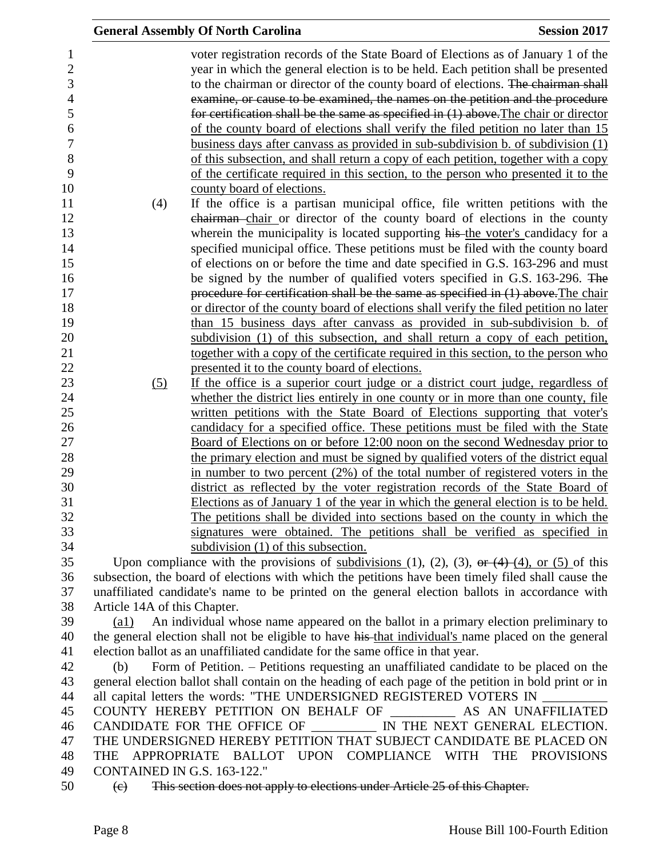|                              | <b>General Assembly Of North Carolina</b>                                                                                                                                                                                                                                                                                                                                                                                                                                                                                                                                                                                                                                                                                                                                                                                   | <b>Session 2017</b> |
|------------------------------|-----------------------------------------------------------------------------------------------------------------------------------------------------------------------------------------------------------------------------------------------------------------------------------------------------------------------------------------------------------------------------------------------------------------------------------------------------------------------------------------------------------------------------------------------------------------------------------------------------------------------------------------------------------------------------------------------------------------------------------------------------------------------------------------------------------------------------|---------------------|
|                              | voter registration records of the State Board of Elections as of January 1 of the<br>year in which the general election is to be held. Each petition shall be presented<br>to the chairman or director of the county board of elections. The chairman shall<br>examine, or cause to be examined, the names on the petition and the procedure<br>for certification shall be the same as specified in $(1)$ above. The chair or director<br>of the county board of elections shall verify the filed petition no later than 15<br>business days after canvass as provided in sub-subdivision b. of subdivision $(1)$<br>of this subsection, and shall return a copy of each petition, together with a copy<br>of the certificate required in this section, to the person who presented it to the<br>county board of elections. |                     |
| (4)                          | If the office is a partisan municipal office, file written petitions with the                                                                                                                                                                                                                                                                                                                                                                                                                                                                                                                                                                                                                                                                                                                                               |                     |
|                              | chairman-chair or director of the county board of elections in the county                                                                                                                                                                                                                                                                                                                                                                                                                                                                                                                                                                                                                                                                                                                                                   |                     |
|                              | wherein the municipality is located supporting his-the voter's candidacy for a                                                                                                                                                                                                                                                                                                                                                                                                                                                                                                                                                                                                                                                                                                                                              |                     |
|                              | specified municipal office. These petitions must be filed with the county board                                                                                                                                                                                                                                                                                                                                                                                                                                                                                                                                                                                                                                                                                                                                             |                     |
|                              | of elections on or before the time and date specified in G.S. 163-296 and must                                                                                                                                                                                                                                                                                                                                                                                                                                                                                                                                                                                                                                                                                                                                              |                     |
|                              | be signed by the number of qualified voters specified in G.S. 163-296. The                                                                                                                                                                                                                                                                                                                                                                                                                                                                                                                                                                                                                                                                                                                                                  |                     |
|                              | procedure for certification shall be the same as specified in (1) above. The chair                                                                                                                                                                                                                                                                                                                                                                                                                                                                                                                                                                                                                                                                                                                                          |                     |
|                              | or director of the county board of elections shall verify the filed petition no later                                                                                                                                                                                                                                                                                                                                                                                                                                                                                                                                                                                                                                                                                                                                       |                     |
|                              | than 15 business days after canvass as provided in sub-subdivision b. of<br>subdivision (1) of this subsection, and shall return a copy of each petition,                                                                                                                                                                                                                                                                                                                                                                                                                                                                                                                                                                                                                                                                   |                     |
|                              | together with a copy of the certificate required in this section, to the person who                                                                                                                                                                                                                                                                                                                                                                                                                                                                                                                                                                                                                                                                                                                                         |                     |
|                              | presented it to the county board of elections.                                                                                                                                                                                                                                                                                                                                                                                                                                                                                                                                                                                                                                                                                                                                                                              |                     |
| (5)                          | If the office is a superior court judge or a district court judge, regardless of                                                                                                                                                                                                                                                                                                                                                                                                                                                                                                                                                                                                                                                                                                                                            |                     |
|                              | whether the district lies entirely in one county or in more than one county, file                                                                                                                                                                                                                                                                                                                                                                                                                                                                                                                                                                                                                                                                                                                                           |                     |
|                              | written petitions with the State Board of Elections supporting that voter's                                                                                                                                                                                                                                                                                                                                                                                                                                                                                                                                                                                                                                                                                                                                                 |                     |
|                              | candidacy for a specified office. These petitions must be filed with the State                                                                                                                                                                                                                                                                                                                                                                                                                                                                                                                                                                                                                                                                                                                                              |                     |
|                              | <u>Board of Elections on or before 12:00 noon on the second Wednesday prior to</u>                                                                                                                                                                                                                                                                                                                                                                                                                                                                                                                                                                                                                                                                                                                                          |                     |
|                              | the primary election and must be signed by qualified voters of the district equal                                                                                                                                                                                                                                                                                                                                                                                                                                                                                                                                                                                                                                                                                                                                           |                     |
|                              | in number to two percent $(2\%)$ of the total number of registered voters in the                                                                                                                                                                                                                                                                                                                                                                                                                                                                                                                                                                                                                                                                                                                                            |                     |
|                              | district as reflected by the voter registration records of the State Board of                                                                                                                                                                                                                                                                                                                                                                                                                                                                                                                                                                                                                                                                                                                                               |                     |
|                              | Elections as of January 1 of the year in which the general election is to be held.                                                                                                                                                                                                                                                                                                                                                                                                                                                                                                                                                                                                                                                                                                                                          |                     |
|                              | The petitions shall be divided into sections based on the county in which the                                                                                                                                                                                                                                                                                                                                                                                                                                                                                                                                                                                                                                                                                                                                               |                     |
|                              | signatures were obtained. The petitions shall be verified as specified in<br>subdivision $(1)$ of this subsection.                                                                                                                                                                                                                                                                                                                                                                                                                                                                                                                                                                                                                                                                                                          |                     |
|                              | Upon compliance with the provisions of subdivisions (1), (2), (3), or (4) (4), or (5) of this                                                                                                                                                                                                                                                                                                                                                                                                                                                                                                                                                                                                                                                                                                                               |                     |
|                              | subsection, the board of elections with which the petitions have been timely filed shall cause the                                                                                                                                                                                                                                                                                                                                                                                                                                                                                                                                                                                                                                                                                                                          |                     |
|                              | unaffiliated candidate's name to be printed on the general election ballots in accordance with                                                                                                                                                                                                                                                                                                                                                                                                                                                                                                                                                                                                                                                                                                                              |                     |
| Article 14A of this Chapter. |                                                                                                                                                                                                                                                                                                                                                                                                                                                                                                                                                                                                                                                                                                                                                                                                                             |                     |
| $\left( a1\right)$           | An individual whose name appeared on the ballot in a primary election preliminary to                                                                                                                                                                                                                                                                                                                                                                                                                                                                                                                                                                                                                                                                                                                                        |                     |
|                              | the general election shall not be eligible to have his-that individual's name placed on the general                                                                                                                                                                                                                                                                                                                                                                                                                                                                                                                                                                                                                                                                                                                         |                     |
|                              | election ballot as an unaffiliated candidate for the same office in that year.                                                                                                                                                                                                                                                                                                                                                                                                                                                                                                                                                                                                                                                                                                                                              |                     |
| (b)                          | Form of Petition. – Petitions requesting an unaffiliated candidate to be placed on the                                                                                                                                                                                                                                                                                                                                                                                                                                                                                                                                                                                                                                                                                                                                      |                     |
|                              | general election ballot shall contain on the heading of each page of the petition in bold print or in                                                                                                                                                                                                                                                                                                                                                                                                                                                                                                                                                                                                                                                                                                                       |                     |
|                              | all capital letters the words: "THE UNDERSIGNED REGISTERED VOTERS IN                                                                                                                                                                                                                                                                                                                                                                                                                                                                                                                                                                                                                                                                                                                                                        |                     |
|                              | COUNTY HEREBY PETITION ON BEHALF OF ___________ AS AN UNAFFILIATED                                                                                                                                                                                                                                                                                                                                                                                                                                                                                                                                                                                                                                                                                                                                                          |                     |
|                              | CANDIDATE FOR THE OFFICE OF<br>IN THE NEXT GENERAL ELECTION.                                                                                                                                                                                                                                                                                                                                                                                                                                                                                                                                                                                                                                                                                                                                                                |                     |
| THE                          | THE UNDERSIGNED HEREBY PETITION THAT SUBJECT CANDIDATE BE PLACED ON<br>APPROPRIATE BALLOT UPON COMPLIANCE WITH THE PROVISIONS                                                                                                                                                                                                                                                                                                                                                                                                                                                                                                                                                                                                                                                                                               |                     |
| CONTAINED IN G.S. 163-122."  |                                                                                                                                                                                                                                                                                                                                                                                                                                                                                                                                                                                                                                                                                                                                                                                                                             |                     |
| $\left(\mathrm{e}\right)$    | This section does not apply to elections under Article 25 of this Chapter.                                                                                                                                                                                                                                                                                                                                                                                                                                                                                                                                                                                                                                                                                                                                                  |                     |
|                              |                                                                                                                                                                                                                                                                                                                                                                                                                                                                                                                                                                                                                                                                                                                                                                                                                             |                     |